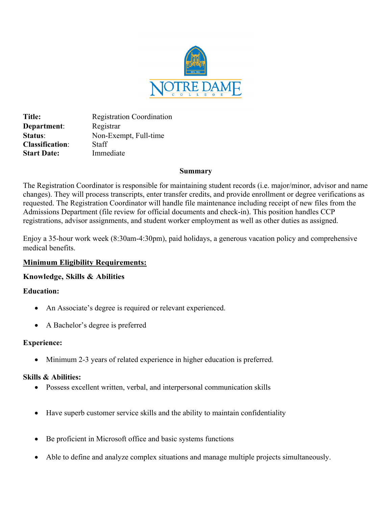

Title: Registration Coordination **Department:** Registrar **Status**: Non-Exempt, Full-time **Classification**: Staff **Start Date:** Immediate

## **Summary**

The Registration Coordinator is responsible for maintaining student records (i.e. major/minor, advisor and name changes). They will process transcripts, enter transfer credits, and provide enrollment or degree verifications as requested. The Registration Coordinator will handle file maintenance including receipt of new files from the Admissions Department (file review for official documents and check-in). This position handles CCP registrations, advisor assignments, and student worker employment as well as other duties as assigned.

Enjoy a 35-hour work week (8:30am-4:30pm), paid holidays, a generous vacation policy and comprehensive medical benefits.

# **Minimum Eligibility Requirements:**

# **Knowledge, Skills & Abilities**

# **Education:**

- An Associate's degree is required or relevant experienced.
- A Bachelor's degree is preferred

# **Experience:**

Minimum 2-3 years of related experience in higher education is preferred.

# **Skills & Abilities:**

- Possess excellent written, verbal, and interpersonal communication skills
- Have superb customer service skills and the ability to maintain confidentiality
- Be proficient in Microsoft office and basic systems functions
- Able to define and analyze complex situations and manage multiple projects simultaneously.